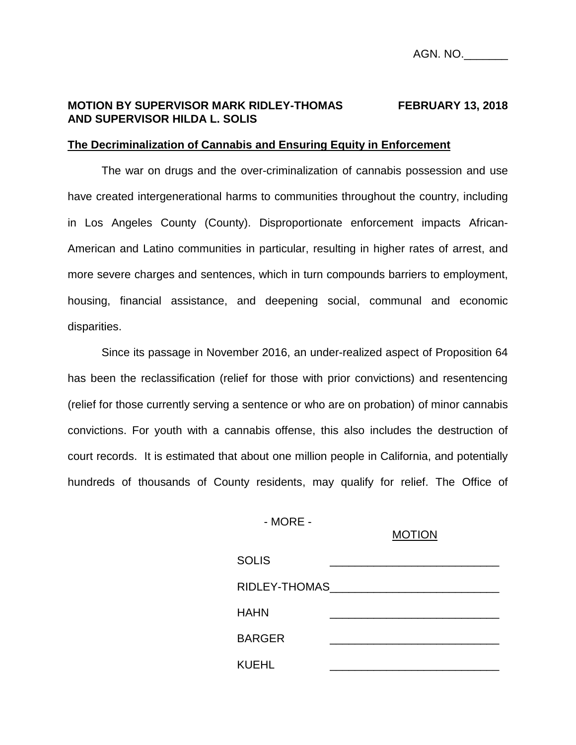## **MOTION BY SUPERVISOR MARK RIDLEY-THOMAS FEBRUARY 13, 2018 AND SUPERVISOR HILDA L. SOLIS**

#### **The Decriminalization of Cannabis and Ensuring Equity in Enforcement**

The war on drugs and the over-criminalization of cannabis possession and use have created intergenerational harms to communities throughout the country, including in Los Angeles County (County). Disproportionate enforcement impacts African-American and Latino communities in particular, resulting in higher rates of arrest, and more severe charges and sentences, which in turn compounds barriers to employment, housing, financial assistance, and deepening social, communal and economic disparities.

Since its passage in November 2016, an under-realized aspect of Proposition 64 has been the reclassification (relief for those with prior convictions) and resentencing (relief for those currently serving a sentence or who are on probation) of minor cannabis convictions. For youth with a cannabis offense, this also includes the destruction of court records. It is estimated that about one million people in California, and potentially hundreds of thousands of County residents, may qualify for relief. The Office of

- MORE -

#### MOTION

| <b>SOLIS</b>  |  |
|---------------|--|
| RIDLEY-THOMAS |  |
| HAHN          |  |
| <b>BARGER</b> |  |
| KUEHL         |  |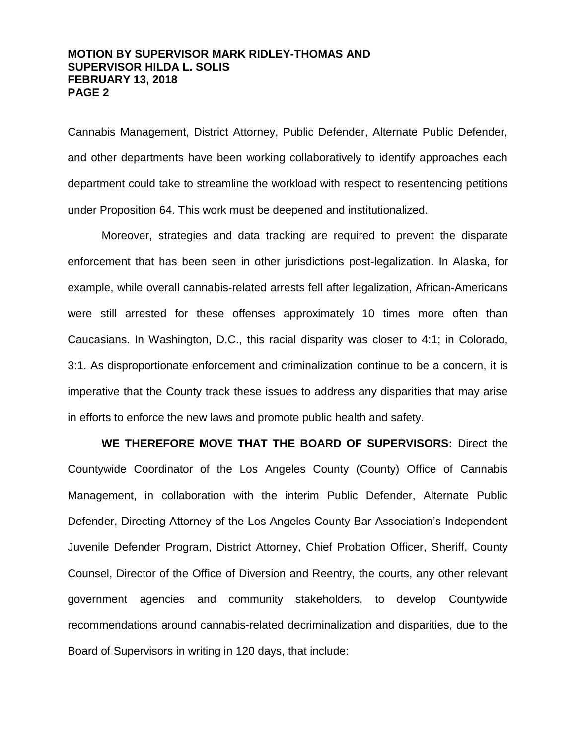## **MOTION BY SUPERVISOR MARK RIDLEY-THOMAS AND SUPERVISOR HILDA L. SOLIS FEBRUARY 13, 2018 PAGE 2**

Cannabis Management, District Attorney, Public Defender, Alternate Public Defender, and other departments have been working collaboratively to identify approaches each department could take to streamline the workload with respect to resentencing petitions under Proposition 64. This work must be deepened and institutionalized.

Moreover, strategies and data tracking are required to prevent the disparate enforcement that has been seen in other jurisdictions post-legalization. In Alaska, for example, while overall cannabis-related arrests fell after legalization, African-Americans were still arrested for these offenses approximately 10 times more often than Caucasians. In Washington, D.C., this racial disparity was closer to 4:1; in Colorado, 3:1. As disproportionate enforcement and criminalization continue to be a concern, it is imperative that the County track these issues to address any disparities that may arise in efforts to enforce the new laws and promote public health and safety.

**WE THEREFORE MOVE THAT THE BOARD OF SUPERVISORS:** Direct the Countywide Coordinator of the Los Angeles County (County) Office of Cannabis Management, in collaboration with the interim Public Defender, Alternate Public Defender, Directing Attorney of the Los Angeles County Bar Association's Independent Juvenile Defender Program, District Attorney, Chief Probation Officer, Sheriff, County Counsel, Director of the Office of Diversion and Reentry, the courts, any other relevant government agencies and community stakeholders, to develop Countywide recommendations around cannabis-related decriminalization and disparities, due to the Board of Supervisors in writing in 120 days, that include: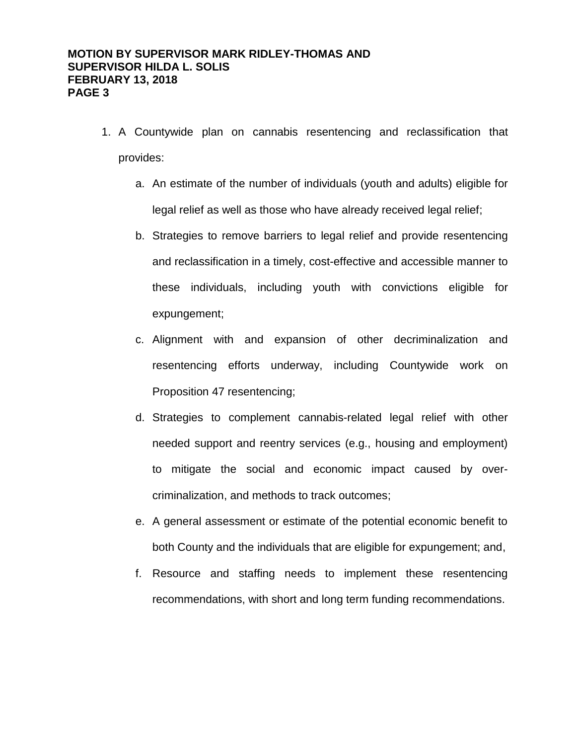- 1. A Countywide plan on cannabis resentencing and reclassification that provides:
	- a. An estimate of the number of individuals (youth and adults) eligible for legal relief as well as those who have already received legal relief;
	- b. Strategies to remove barriers to legal relief and provide resentencing and reclassification in a timely, cost-effective and accessible manner to these individuals, including youth with convictions eligible for expungement;
	- c. Alignment with and expansion of other decriminalization and resentencing efforts underway, including Countywide work on Proposition 47 resentencing;
	- d. Strategies to complement cannabis-related legal relief with other needed support and reentry services (e.g., housing and employment) to mitigate the social and economic impact caused by overcriminalization, and methods to track outcomes;
	- e. A general assessment or estimate of the potential economic benefit to both County and the individuals that are eligible for expungement; and,
	- f. Resource and staffing needs to implement these resentencing recommendations, with short and long term funding recommendations.